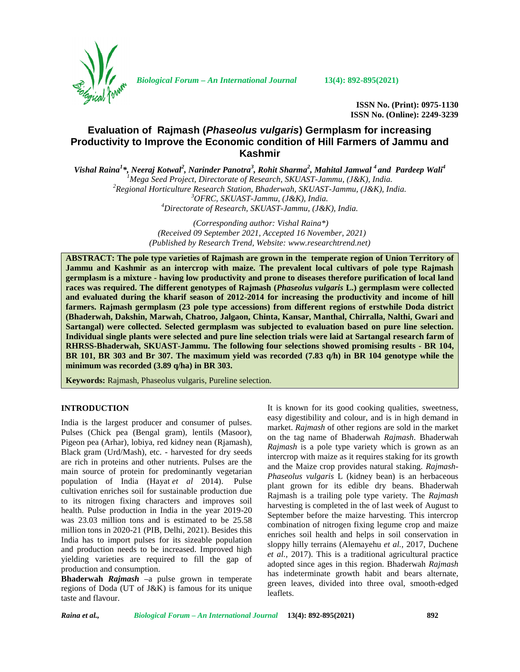

*Biological Forum – An International Journal* **13(4): 892-895(2021)**

**ISSN No. (Print): 0975-1130 ISSN No. (Online): 2249-3239**

# **Evaluation of Rajmash (***Phaseolus vulgaris***) Germplasm for increasing Productivity to Improve the Economic condition of Hill Farmers of Jammu and Kashmir**

*Vishal Raina<sup>1</sup>\*, Neeraj Kotwal<sup>2</sup> , Narinder Panotra<sup>3</sup> , Rohit Sharma<sup>2</sup> , Mahital Jamwal <sup>4</sup> and Pardeep Wali<sup>4</sup>* <sup>1</sup>Mega Seed Project, Directorate of Research, SKUAST-Jammu, (J&K), India.<br><sup>2</sup>Regional Horticulture Research Station, Bhaderwah, SKUAST-Jammu, (J&K), India.<br><sup>3</sup>OFRC, SKUAST-Jammu, (J&K), India.<br><sup>4</sup>Directorate of Research,

> *(Corresponding author: Vishal Raina\*) (Received 09 September 2021, Accepted 16 November, 2021) (Published by Research Trend, Website: [www.researchtrend.net\)](www.researchtrend.net)*

**ABSTRACT: The pole type varieties of Rajmash are grown in the temperate region of Union Territory of Jammu and Kashmir as an intercrop with maize. The prevalent local cultivars of pole type Rajmash germplasm is a mixture - having low productivity and prone to diseases therefore purification of local land races was required. The different genotypes of Rajmash (***Phaseolus vulgaris* **L.) germplasm were collected and evaluated during the kharif season of 2012-2014 for increasing the productivity and income of hill farmers. Rajmash germplasm (23 pole type accessions) from different regions of erstwhile Doda district (Bhaderwah, Dakshin, Marwah, Chatroo, Jalgaon, Chinta, Kansar, Manthal, Chirralla, Nalthi, Gwari and Sartangal) were collected. Selected germplasm was subjected to evaluation based on pure line selection. Individual single plants were selected and pure line selection trials were laid at Sartangal research farm of RHRSS-Bhaderwah, SKUAST-Jammu. The following four selections showed promising results - BR 104, BR 101, BR 303 and Br 307. The maximum yield was recorded (7.83 q/h) in BR 104 genotype while the minimum was recorded (3.89 q/ha) in BR 303.**

**Keywords:** Rajmash, Phaseolus vulgaris, Pureline selection.

## **INTRODUCTION**

India is the largest producer and consumer of pulses. Pulses (Chick pea (Bengal gram), lentils (Masoor), Pigeon pea (Arhar), lobiya, red kidney nean (Rjamash), Black gram (Urd/Mash), etc. - harvested for dry seeds are rich in proteins and other nutrients. Pulses are the main source of protein for predominantly vegetarian population of India (Hayat *et al* 2014). Pulse cultivation enriches soil for sustainable production due to its nitrogen fixing characters and improves soil health. Pulse production in India in the year 2019-20 was 23.03 million tons and is estimated to be 25.58 million tons in 2020-21 (PIB, Delhi, 2021). Besides this India has to import pulses for its sizeable population and production needs to be increased. Improved high yielding varieties are required to fill the gap of production and consumption.

**Bhaderwah** *Rajmash* –a pulse grown in temperate regions of Doda (UT of J&K) is famous for its unique taste and flavour.

It is known for its good cooking qualities, sweetness, easy digestibility and colour, and is in high demand in market. *Rajmash* of other regions are sold in the market on the tag name of Bhaderwah *Rajmash*. Bhaderwah *Rajmash* is a pole type variety which is grown as an intercrop with maize as it requires staking for its growth and the Maize crop provides natural staking. *Rajmash*- *Phaseolus vulgaris* L (kidney bean) is an herbaceous plant grown for its edible dry beans. Bhaderwah Rajmash is a trailing pole type variety. The *Rajmash* harvesting is completed in the of last week of August to September before the maize harvesting. This intercrop combination of nitrogen fixing legume crop and maize enriches soil health and helps in soil conservation in sloppy hilly terrains (Alemayehu *et al.,* 2017, Duchene *et al.,* 2017). This is a traditional agricultural practice adopted since ages in this region. Bhaderwah *Rajmash* has indeterminate growth habit and bears alternate, green leaves, divided into three oval, smooth-edged leaflets.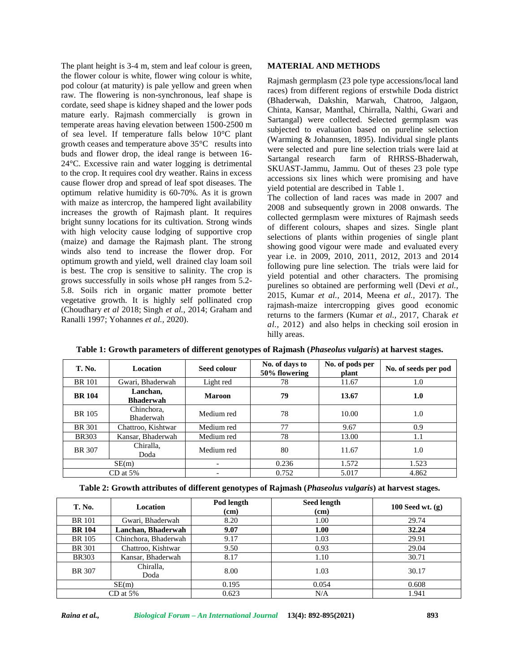The plant height is 3-4 m, stem and leaf colour is green, the flower colour is white, flower wing colour is white, pod colour (at maturity) is pale yellow and green when raw. The flowering is non-synchronous, leaf shape is cordate, seed shape is kidney shaped and the lower pods mature early. Rajmash commercially is grown in temperate areas having elevation between 1500-2500 m of sea level. If temperature falls below 10°C plant growth ceases and temperature above 35°C results into buds and flower drop, the ideal range is between 16-<br>and the strange research strange is and the strange research 24°C. Excessive rain and water logging is detrimental to the crop. It requires cool dry weather. Rains in excess cause flower drop and spread of leaf spot diseases. The optimum relative humidity is 60-70%. As it is grown with maize as intercrop, the hampered light availability increases the growth of Rajmash plant. It requires bright sunny locations for its cultivation. Strong winds with high velocity cause lodging of supportive crop (maize) and damage the Rajmash plant. The strong winds also tend to increase the flower drop. For optimum growth and yield, well drained clay loam soil is best. The crop is sensitive to salinity. The crop is grows successfully in soils whose pH ranges from 5.2- 5.8. Soils rich in organic matter promote better vegetative growth. It is highly self pollinated crop (Choudhary *et al* 2018; Singh *et al.,* 2014; Graham and Ranalli 1997; Yohannes *et al.,* 2020).

# **MATERIAL AND METHODS**

Rajmash germplasm (23 pole type accessions/local land races) from different regions of erstwhile Doda district (Bhaderwah, Dakshin, Marwah, Chatroo, Jalgaon, Chinta, Kansar, Manthal, Chirralla, Nalthi, Gwari and Sartangal) were collected. Selected germplasm was subjected to evaluation based on pureline selection (Warming & Johannsen, 1895). Individual single plants were selected and pure line selection trials were laid at farm of RHRSS-Bhaderwah, SKUAST-Jammu, Jammu. Out of theses 23 pole type accessions six lines which were promising and have yield potential are described in Table 1.

The collection of land races was made in 2007 and 2008 and subsequently grown in 2008 onwards. The collected germplasm were mixtures of Rajmash seeds of different colours, shapes and sizes. Single plant selections of plants within progenies of single plant showing good vigour were made and evaluated every year i.e. in 2009, 2010, 2011, 2012, 2013 and 2014 following pure line selection. The trials were laid for yield potential and other characters. The promising purelines so obtained are performing well (Devi *et al.,* 2015, Kumar *et al.,* 2014, Meena *et al.,* 2017). The rajmash-maize intercropping gives good economic returns to the farmers (Kumar *et al.,* 2017, Charak *et al.,* 2012) and also helps in checking soil erosion in hilly areas.

| <b>T. No.</b> | <b>Location</b>              | Seed colour   | No. of days to<br>50% flowering | No. of pods per<br>plant | No. of seeds per pod |
|---------------|------------------------------|---------------|---------------------------------|--------------------------|----------------------|
| <b>BR</b> 101 | Gwari, Bhaderwah             | Light red     | 78                              | 11.67                    | 1.0                  |
| <b>BR</b> 104 | Lanchan.<br><b>Bhaderwah</b> | <b>Maroon</b> | 79                              | 13.67                    | 1.0                  |
| <b>BR</b> 105 | Chinchora.<br>Bhaderwah      | Medium red    | 78                              | 10.00                    | 1.0                  |
| BR 301        | Chattroo, Kishtwar           | Medium red    | 77                              | 9.67                     | 0.9                  |
| <b>BR303</b>  | Kansar, Bhaderwah            | Medium red    | 78                              | 13.00                    | 1.1                  |
| <b>BR</b> 307 | Chiralla,<br>Doda            | Medium red    | 80                              | 11.67                    | 1.0                  |
| SE(m)         |                              |               | 0.236                           | 1.572                    | 1.523                |
| $CD$ at 5%    |                              |               | 0.752                           | 5.017                    | 4.862                |

**Table 1: Growth parameters of different genotypes of Rajmash (***Phaseolus vulgaris***) at harvest stages.**

**Table 2: Growth attributes of different genotypes of Rajmash (***Phaseolus vulgaris***) at harvest stages.**

| <b>T. No.</b> | Location             | Pod length<br>(cm) | <b>Seed length</b><br>(cm) | 100 Seed wt. $(g)$ |
|---------------|----------------------|--------------------|----------------------------|--------------------|
| <b>BR</b> 101 | Gwari, Bhaderwah     | 8.20               | 1.00                       | 29.74              |
| <b>BR</b> 104 | Lanchan, Bhaderwah   | 9.07               | 1.00                       | 32.24              |
| BR 105        | Chinchora, Bhaderwah | 9.17               | 1.03                       | 29.91              |
| <b>BR</b> 301 | Chattroo, Kishtwar   | 9.50               | 0.93                       | 29.04              |
| <b>BR303</b>  | Kansar, Bhaderwah    | 8.17               | 1.10                       | 30.71              |
| <b>BR</b> 307 | Chiralla,<br>Doda    | 8.00               | 1.03                       | 30.17              |
| SE(m)         |                      | 0.195              | 0.054                      | 0.608              |
|               | $CD$ at 5%           | 0.623              | N/A                        | 1.941              |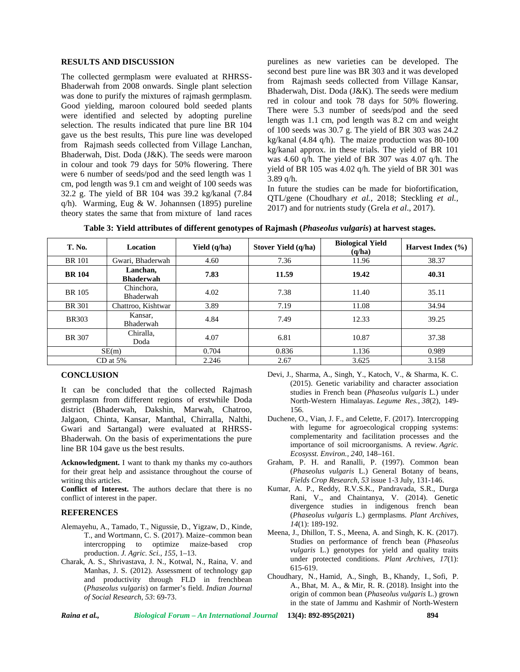#### **RESULTS AND DISCUSSION**

The collected germplasm were evaluated at RHRSS- Bhaderwah from 2008 onwards. Single plant selection was done to purify the mixtures of rajmash germplasm. Good yielding, maroon coloured bold seeded plants were identified and selected by adopting pureline selection. The results indicated that pure line BR 104 gave us the best results, This pure line was developed from Rajmash seeds collected from Village Lanchan, Bhaderwah, Dist. Doda (J&K). The seeds were maroon in colour and took 79 days for 50% flowering. There were 6 number of seeds/pod and the seed length was 1 cm, pod length was 9.1 cm and weight of 100 seeds was 32.2 g. The yield of BR 104 was 39.2 kg/kanal (7.84 q/h). Warming, Eug & W. Johannsen (1895) pureline theory states the same that from mixture of land races purelines as new varieties can be developed. The second best pure line was BR 303 and it was developed from Rajmash seeds collected from Village Kansar, Bhaderwah, Dist. Doda (J&K). The seeds were medium red in colour and took 78 days for 50% flowering. There were 5.3 number of seeds/pod and the seed length was 1.1 cm, pod length was 8.2 cm and weight of 100 seeds was 30.7 g. The yield of BR 303 was 24.2 kg/kanal (4.84 q/h). The maize production was 80-100 kg/kanal approx. in these trials. The yield of BR 101 was 4.60 q/h. The yield of BR 307 was 4.07 q/h. The yield of BR 105 was 4.02 q/h. The yield of BR 301 was 3.89 q/h.

In future the studies can be made for biofortification, QTL/gene (Choudhary *et al.,* 2018; Steckling *et al.,* 2017) and for nutrients study (Grela *et al*., 2017).

| <b>T. No.</b> | <b>Location</b>              | Yield $(q/ha)$ | Stover Yield (q/ha) | <b>Biological Yield</b><br>(q/ha) | Harvest Index $(\% )$ |
|---------------|------------------------------|----------------|---------------------|-----------------------------------|-----------------------|
| <b>BR</b> 101 | Gwari, Bhaderwah             | 4.60           | 7.36                | 11.96                             | 38.37                 |
| <b>BR</b> 104 | Lanchan,<br><b>Bhaderwah</b> | 7.83           | 11.59               | 19.42                             | 40.31                 |
| BR 105        | Chinchora,<br>Bhaderwah      | 4.02           | 7.38                | 11.40                             | 35.11                 |
| <b>BR</b> 301 | Chattroo, Kishtwar           | 3.89           | 7.19                | 11.08                             | 34.94                 |
| <b>BR303</b>  | Kansar,<br>Bhaderwah         | 4.84           | 7.49                | 12.33                             | 39.25                 |
| <b>BR</b> 307 | Chiralla,<br>Doda            | 4.07           | 6.81                | 10.87                             | 37.38                 |
| SE(m)         |                              | 0.704          | 0.836               | 1.136                             | 0.989                 |
| $CD$ at 5%    |                              | 2.246          | 2.67                | 3.625                             | 3.158                 |

**Table 3: Yield attributes of different genotypes of Rajmash (***Phaseolus vulgaris***) at harvest stages.**

## **CONCLUSION**

It can be concluded that the collected Rajmash germplasm from different regions of erstwhile Doda district (Bhaderwah, Dakshin, Marwah, Chatroo, Jalgaon, Chinta, Kansar, Manthal, Chirralla, Nalthi, Gwari and Sartangal) were evaluated at RHRSS- Bhaderwah. On the basis of experimentations the pure line BR 104 gave us the best results.

**Acknowledgment.** I want to thank my thanks my co-authors for their great help and assistance throughout the course of writing this articles.

**Conflict of Interest.** The authors declare that there is no conflict of interest in the paper.

#### **REFERENCES**

- Alemayehu, A., Tamado, T., Nigussie, D., Yigzaw, D., Kinde, T., and Wortmann, C. S. (2017). Maize–common bean intercropping to optimize maize-based crop production. *J. Agric. Sci., 155*, 1–13.
- Charak, A. S., Shrivastava, J. N., Kotwal, N., Raina, V. and Manhas, J. S. (2012). Assessment of technology gap and productivity through FLD in frenchbean (*Phaseolus vulgaris*) on farmer's field. *Indian Journal of Social Research, 53*: 69-73.
- Devi, J., Sharma, A., Singh, Y., Katoch, V., & Sharma, K. C. (2015). Genetic variability and character association studies in French bean (*Phaseolus vulgaris* L.) under North-Western Himalayas. *Legume Res.*, *38*(2), 149- 156.
- Duchene, O., Vian, J. F., and Celette, F. (2017). Intercropping with legume for agroecological cropping systems: complementarity and facilitation processes and the importance of soil microorganisms. A review. *Agric. Ecosysst. Environ., 240*, 148–161.
- Graham, P. H. and Ranalli, P. (1997). Common bean (*Phaseolus vulgaris* L.) General Botany of beans, *Fields Crop Research*, *53* issue 1-3 July, 131-146.
- Kumar, A. P., Reddy, R.V.S.K., Pandravada, S.R., Durga Rani, V., and Chaintanya, V. (2014). Genetic divergence studies in indigenous french bean (*Phaseolus vulgaris* L.) germplasms. *Plant Archives, 14*(1): 189-192.
- Meena, J., Dhillon, T. S., Meena, A. and Singh, K. K. (2017). Studies on performance of french bean (*Phaseolus vulgaris* L.) genotypes for yield and quality traits under protected conditions. *Plant Archives, 17*(1): 615-619.
- Choudhary, N., Hamid, A., Singh, B., Khandy, I., Sofi, P. A., Bhat, M. A., & Mir, R. R. (2018). Insight into the origin of common bean (*Phaseolus vulgaris* L.) grown in the state of Jammu and Kashmir of North-Western

*Raina et al., Biological Forum – An International Journal* **13(4): 892-895(2021) 894**